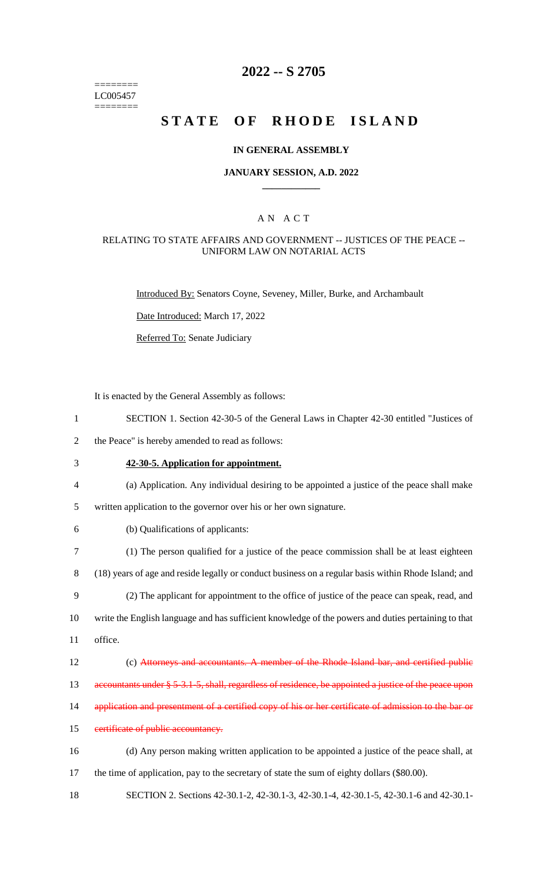======== LC005457  $=$ 

### **2022 -- S 2705**

## STATE OF RHODE ISLAND

### **IN GENERAL ASSEMBLY**

### **JANUARY SESSION, A.D. 2022 \_\_\_\_\_\_\_\_\_\_\_\_**

### A N A C T

### RELATING TO STATE AFFAIRS AND GOVERNMENT -- JUSTICES OF THE PEACE -- UNIFORM LAW ON NOTARIAL ACTS

Introduced By: Senators Coyne, Seveney, Miller, Burke, and Archambault

Date Introduced: March 17, 2022

Referred To: Senate Judiciary

It is enacted by the General Assembly as follows:

| $\mathbf{1}$             | SECTION 1. Section 42-30-5 of the General Laws in Chapter 42-30 entitled "Justices of                 |
|--------------------------|-------------------------------------------------------------------------------------------------------|
| $\overline{2}$           | the Peace" is hereby amended to read as follows:                                                      |
| $\mathfrak{Z}$           | 42-30-5. Application for appointment.                                                                 |
| $\overline{\mathcal{A}}$ | (a) Application. Any individual desiring to be appointed a justice of the peace shall make            |
| 5                        | written application to the governor over his or her own signature.                                    |
| 6                        | (b) Qualifications of applicants:                                                                     |
| $\tau$                   | (1) The person qualified for a justice of the peace commission shall be at least eighteen             |
| $8\,$                    | (18) years of age and reside legally or conduct business on a regular basis within Rhode Island; and  |
| 9                        | (2) The applicant for appointment to the office of justice of the peace can speak, read, and          |
| 10                       | write the English language and has sufficient knowledge of the powers and duties pertaining to that   |
| 11                       | office.                                                                                               |
| 12                       | (c) Attorneys and accountants. A member of the Rhode Island bar, and certified public                 |
| 13                       | accountants under § 5-3.1-5, shall, regardless of residence, be appointed a justice of the peace upon |
| 14                       | application and presentment of a certified copy of his or her certificate of admission to the bar or  |
| 15                       | certificate of public accountancy.                                                                    |
| 16                       | (d) Any person making written application to be appointed a justice of the peace shall, at            |
| 17                       | the time of application, pay to the secretary of state the sum of eighty dollars (\$80.00).           |
| 18                       | SECTION 2. Sections 42-30.1-2, 42-30.1-3, 42-30.1-4, 42-30.1-5, 42-30.1-6 and 42-30.1-                |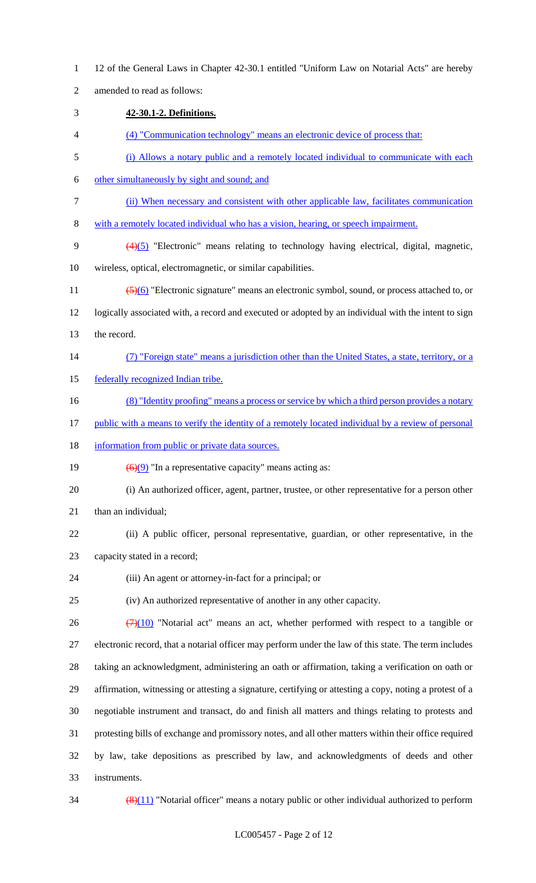12 of the General Laws in Chapter 42-30.1 entitled "Uniform Law on Notarial Acts" are hereby amended to read as follows: **42-30.1-2. Definitions.** (4) "Communication technology" means an electronic device of process that: (i) Allows a notary public and a remotely located individual to communicate with each other simultaneously by sight and sound; and (ii) When necessary and consistent with other applicable law, facilitates communication with a remotely located individual who has a vision, hearing, or speech impairment. (4)(5) "Electronic" means relating to technology having electrical, digital, magnetic, wireless, optical, electromagnetic, or similar capabilities. 11 (5)(6) "Electronic signature" means an electronic symbol, sound, or process attached to, or logically associated with, a record and executed or adopted by an individual with the intent to sign the record. (7) "Foreign state" means a jurisdiction other than the United States, a state, territory, or a 15 federally recognized Indian tribe. 16 (8) "Identity proofing" means a process or service by which a third person provides a notary 17 public with a means to verify the identity of a remotely located individual by a review of personal 18 information from public or private data sources.  $\left(\frac{6}{9}\right)$  "In a representative capacity" means acting as: (i) An authorized officer, agent, partner, trustee, or other representative for a person other than an individual; (ii) A public officer, personal representative, guardian, or other representative, in the capacity stated in a record; (iii) An agent or attorney-in-fact for a principal; or (iv) An authorized representative of another in any other capacity.  $(7)(10)$  "Notarial act" means an act, whether performed with respect to a tangible or electronic record, that a notarial officer may perform under the law of this state. The term includes taking an acknowledgment, administering an oath or affirmation, taking a verification on oath or affirmation, witnessing or attesting a signature, certifying or attesting a copy, noting a protest of a negotiable instrument and transact, do and finish all matters and things relating to protests and protesting bills of exchange and promissory notes, and all other matters within their office required by law, take depositions as prescribed by law, and acknowledgments of deeds and other instruments.  $34 \left( \frac{(8)(11)}{8} \right)$  "Notarial officer" means a notary public or other individual authorized to perform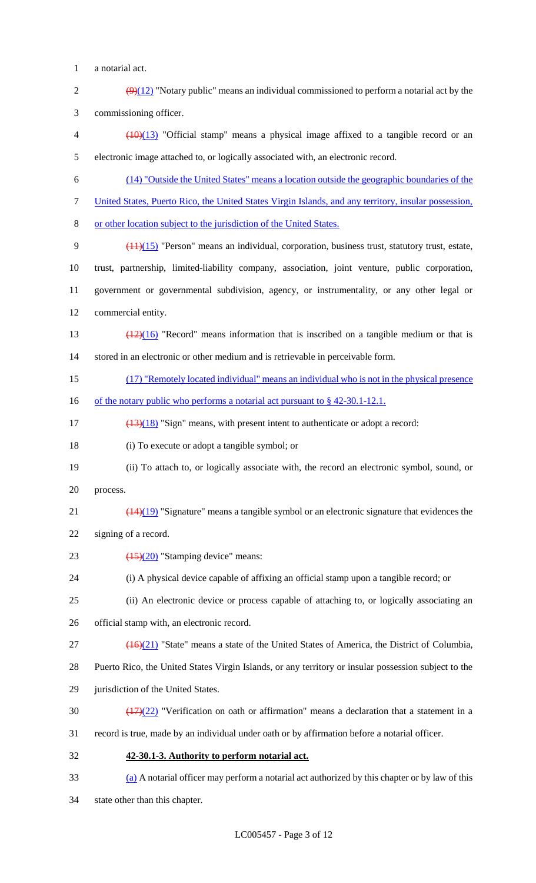- a notarial act.
- 2  $\left(\frac{9}{12}\right)$  "Notary public" means an individual commissioned to perform a notarial act by the commissioning officer.

 (10)(13) "Official stamp" means a physical image affixed to a tangible record or an electronic image attached to, or logically associated with, an electronic record.

- (14) "Outside the United States" means a location outside the geographic boundaries of the
- United States, Puerto Rico, the United States Virgin Islands, and any territory, insular possession,
- or other location subject to the jurisdiction of the United States.
- (11)(15) "Person" means an individual, corporation, business trust, statutory trust, estate, trust, partnership, limited-liability company, association, joint venture, public corporation, government or governmental subdivision, agency, or instrumentality, or any other legal or commercial entity.
- 13  $\left(\frac{(12)(16)}{2}\right)$  "Record" means information that is inscribed on a tangible medium or that is stored in an electronic or other medium and is retrievable in perceivable form.
- (17) "Remotely located individual" means an individual who is not in the physical presence
- 16 of the notary public who performs a notarial act pursuant to § 42-30.1-12.1.
- 17 (13)(18) "Sign" means, with present intent to authenticate or adopt a record:
- (i) To execute or adopt a tangible symbol; or
- (ii) To attach to, or logically associate with, the record an electronic symbol, sound, or process.
- 21  $\left(\frac{(14)(19)}{(14)(19)}\right)$  "Signature" means a tangible symbol or an electronic signature that evidences the
- signing of a record.
- 23  $\left(\frac{(15)}{(20)}\right)$  "Stamping device" means:
- (i) A physical device capable of affixing an official stamp upon a tangible record; or
- (ii) An electronic device or process capable of attaching to, or logically associating an
- official stamp with, an electronic record.
- (16)(21) "State" means a state of the United States of America, the District of Columbia,
- Puerto Rico, the United States Virgin Islands, or any territory or insular possession subject to the
- jurisdiction of the United States.
- 30  $\left(\frac{(17)(22)}{(17)(22)}\right)$  "Verification on oath or affirmation" means a declaration that a statement in a
- record is true, made by an individual under oath or by affirmation before a notarial officer.
- **42-30.1-3. Authority to perform notarial act.**
- (a) A notarial officer may perform a notarial act authorized by this chapter or by law of this
- state other than this chapter.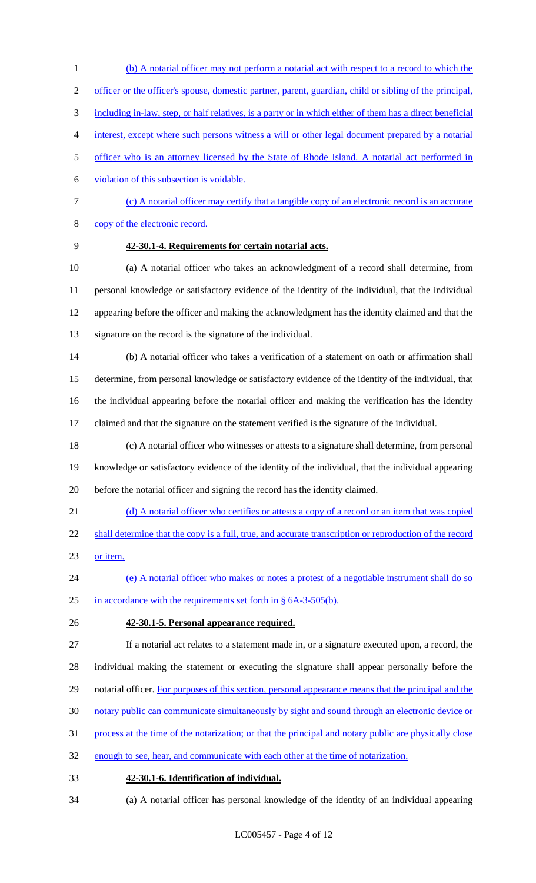- (b) A notarial officer may not perform a notarial act with respect to a record to which the officer or the officer's spouse, domestic partner, parent, guardian, child or sibling of the principal, including in-law, step, or half relatives, is a party or in which either of them has a direct beneficial interest, except where such persons witness a will or other legal document prepared by a notarial officer who is an attorney licensed by the State of Rhode Island. A notarial act performed in violation of this subsection is voidable. (c) A notarial officer may certify that a tangible copy of an electronic record is an accurate
- copy of the electronic record.
- 

### **42-30.1-4. Requirements for certain notarial acts.**

 (a) A notarial officer who takes an acknowledgment of a record shall determine, from personal knowledge or satisfactory evidence of the identity of the individual, that the individual appearing before the officer and making the acknowledgment has the identity claimed and that the signature on the record is the signature of the individual.

 (b) A notarial officer who takes a verification of a statement on oath or affirmation shall determine, from personal knowledge or satisfactory evidence of the identity of the individual, that the individual appearing before the notarial officer and making the verification has the identity claimed and that the signature on the statement verified is the signature of the individual.

- (c) A notarial officer who witnesses or attests to a signature shall determine, from personal knowledge or satisfactory evidence of the identity of the individual, that the individual appearing before the notarial officer and signing the record has the identity claimed.
- 21 (d) A notarial officer who certifies or attests a copy of a record or an item that was copied
- 22 shall determine that the copy is a full, true, and accurate transcription or reproduction of the record or item.
- (e) A notarial officer who makes or notes a protest of a negotiable instrument shall do so in accordance with the requirements set forth in § 6A-3-505(b).
- **42-30.1-5. Personal appearance required.**

If a notarial act relates to a statement made in, or a signature executed upon, a record, the

individual making the statement or executing the signature shall appear personally before the

- 29 notarial officer. For purposes of this section, personal appearance means that the principal and the
- notary public can communicate simultaneously by sight and sound through an electronic device or
- process at the time of the notarization; or that the principal and notary public are physically close
- enough to see, hear, and communicate with each other at the time of notarization.
- **42-30.1-6. Identification of individual.**
- (a) A notarial officer has personal knowledge of the identity of an individual appearing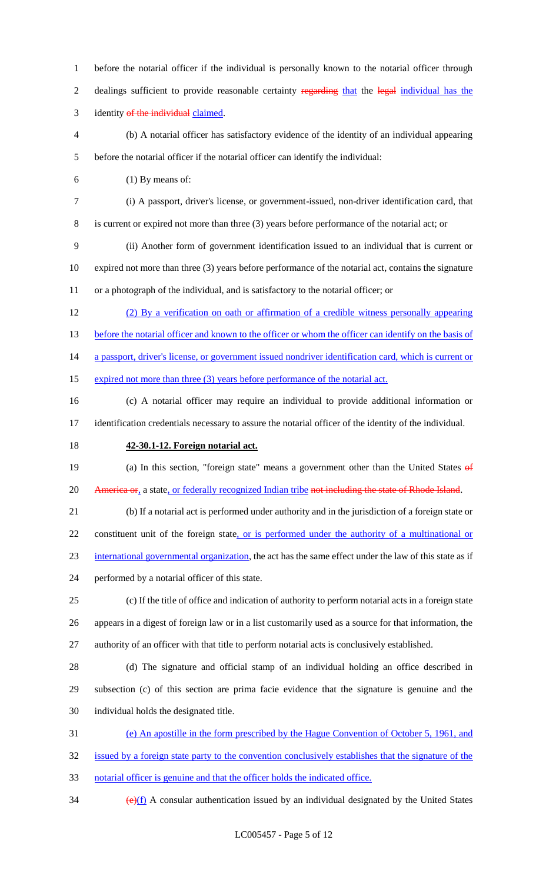before the notarial officer if the individual is personally known to the notarial officer through 2 dealings sufficient to provide reasonable certainty regarding that the legal individual has the 3 identity of the individual claimed. (b) A notarial officer has satisfactory evidence of the identity of an individual appearing before the notarial officer if the notarial officer can identify the individual: (1) By means of: (i) A passport, driver's license, or government-issued, non-driver identification card, that is current or expired not more than three (3) years before performance of the notarial act; or (ii) Another form of government identification issued to an individual that is current or expired not more than three (3) years before performance of the notarial act, contains the signature or a photograph of the individual, and is satisfactory to the notarial officer; or (2) By a verification on oath or affirmation of a credible witness personally appearing 13 before the notarial officer and known to the officer or whom the officer can identify on the basis of 14 a passport, driver's license, or government issued nondriver identification card, which is current or 15 expired not more than three (3) years before performance of the notarial act. (c) A notarial officer may require an individual to provide additional information or identification credentials necessary to assure the notarial officer of the identity of the individual. **42-30.1-12. Foreign notarial act.** 19 (a) In this section, "foreign state" means a government other than the United States of 20 America or, a state, or federally recognized Indian tribe not including the state of Rhode Island. (b) If a notarial act is performed under authority and in the jurisdiction of a foreign state or 22 constituent unit of the foreign state, or is performed under the authority of a multinational or international governmental organization, the act has the same effect under the law of this state as if performed by a notarial officer of this state. (c) If the title of office and indication of authority to perform notarial acts in a foreign state appears in a digest of foreign law or in a list customarily used as a source for that information, the authority of an officer with that title to perform notarial acts is conclusively established. (d) The signature and official stamp of an individual holding an office described in subsection (c) of this section are prima facie evidence that the signature is genuine and the individual holds the designated title. (e) An apostille in the form prescribed by the Hague Convention of October 5, 1961, and issued by a foreign state party to the convention conclusively establishes that the signature of the notarial officer is genuine and that the officer holds the indicated office.

 $\left(\frac{e}{f}\right)$  A consular authentication issued by an individual designated by the United States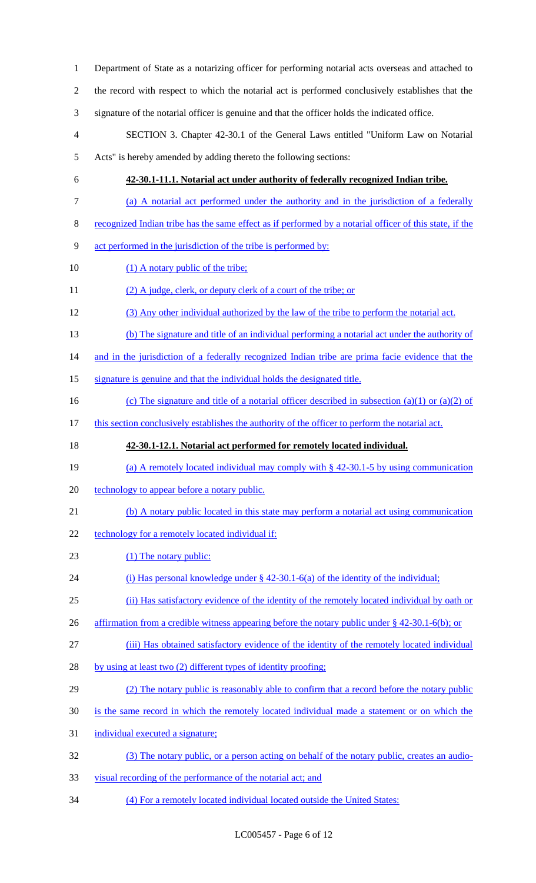Department of State as a notarizing officer for performing notarial acts overseas and attached to the record with respect to which the notarial act is performed conclusively establishes that the signature of the notarial officer is genuine and that the officer holds the indicated office. SECTION 3. Chapter 42-30.1 of the General Laws entitled "Uniform Law on Notarial Acts" is hereby amended by adding thereto the following sections: **42-30.1-11.1. Notarial act under authority of federally recognized Indian tribe.**  (a) A notarial act performed under the authority and in the jurisdiction of a federally recognized Indian tribe has the same effect as if performed by a notarial officer of this state, if the act performed in the jurisdiction of the tribe is performed by: 10 (1) A notary public of the tribe; (2) A judge, clerk, or deputy clerk of a court of the tribe; or (3) Any other individual authorized by the law of the tribe to perform the notarial act. (b) The signature and title of an individual performing a notarial act under the authority of 14 and in the jurisdiction of a federally recognized Indian tribe are prima facie evidence that the signature is genuine and that the individual holds the designated title. 16 (c) The signature and title of a notarial officer described in subsection (a)(1) or (a)(2) of 17 this section conclusively establishes the authority of the officer to perform the notarial act. **42-30.1-12.1. Notarial act performed for remotely located individual.**  19 (a) A remotely located individual may comply with § 42-30.1-5 by using communication 20 technology to appear before a notary public. (b) A notary public located in this state may perform a notarial act using communication 22 technology for a remotely located individual if: 23 (1) The notary public: (i) Has personal knowledge under § 42-30.1-6(a) of the identity of the individual; (ii) Has satisfactory evidence of the identity of the remotely located individual by oath or 26 affirmation from a credible witness appearing before the notary public under § 42-30.1-6(b); or (iii) Has obtained satisfactory evidence of the identity of the remotely located individual 28 by using at least two (2) different types of identity proofing; (2) The notary public is reasonably able to confirm that a record before the notary public is the same record in which the remotely located individual made a statement or on which the individual executed a signature; (3) The notary public, or a person acting on behalf of the notary public, creates an audio- visual recording of the performance of the notarial act; and (4) For a remotely located individual located outside the United States: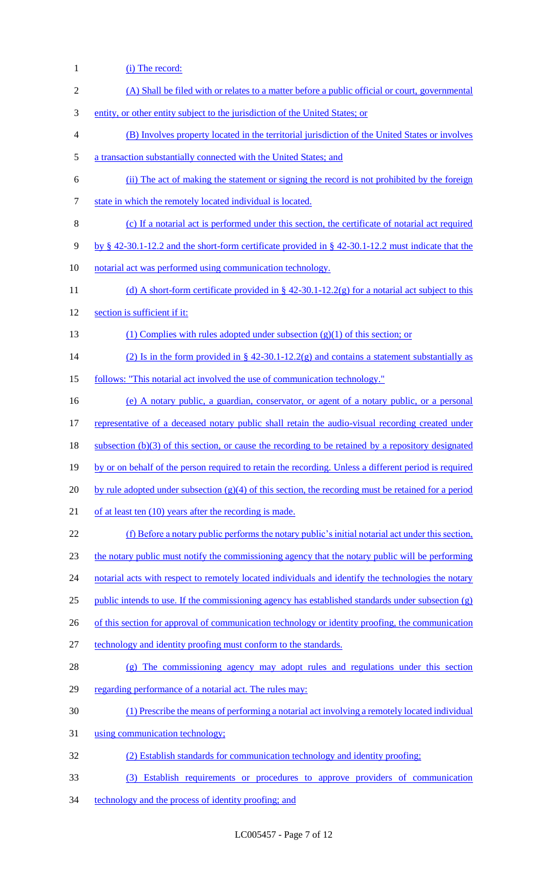(i) The record: (A) Shall be filed with or relates to a matter before a public official or court, governmental entity, or other entity subject to the jurisdiction of the United States; or (B) Involves property located in the territorial jurisdiction of the United States or involves a transaction substantially connected with the United States; and (ii) The act of making the statement or signing the record is not prohibited by the foreign 7 state in which the remotely located individual is located. (c) If a notarial act is performed under this section, the certificate of notarial act required by § 42-30.1-12.2 and the short-form certificate provided in § 42-30.1-12.2 must indicate that the notarial act was performed using communication technology. 11 (d) A short-form certificate provided in § 42-30.1-12.2(g) for a notarial act subject to this section is sufficient if it: 13 (1) Complies with rules adopted under subsection (g)(1) of this section; or 14 (2) Is in the form provided in § 42-30.1-12.2(g) and contains a statement substantially as follows: "This notarial act involved the use of communication technology." (e) A notary public, a guardian, conservator, or agent of a notary public, or a personal 17 representative of a deceased notary public shall retain the audio-visual recording created under 18 subsection (b)(3) of this section, or cause the recording to be retained by a repository designated by or on behalf of the person required to retain the recording. Unless a different period is required 20 by rule adopted under subsection  $(g)(4)$  of this section, the recording must be retained for a period 21 of at least ten (10) years after the recording is made. (f) Before a notary public performs the notary public's initial notarial act under this section, the notary public must notify the commissioning agency that the notary public will be performing 24 notarial acts with respect to remotely located individuals and identify the technologies the notary 25 public intends to use. If the commissioning agency has established standards under subsection  $(g)$ 26 of this section for approval of communication technology or identity proofing, the communication technology and identity proofing must conform to the standards. (g) The commissioning agency may adopt rules and regulations under this section 29 regarding performance of a notarial act. The rules may: (1) Prescribe the means of performing a notarial act involving a remotely located individual using communication technology; (2) Establish standards for communication technology and identity proofing; (3) Establish requirements or procedures to approve providers of communication technology and the process of identity proofing; and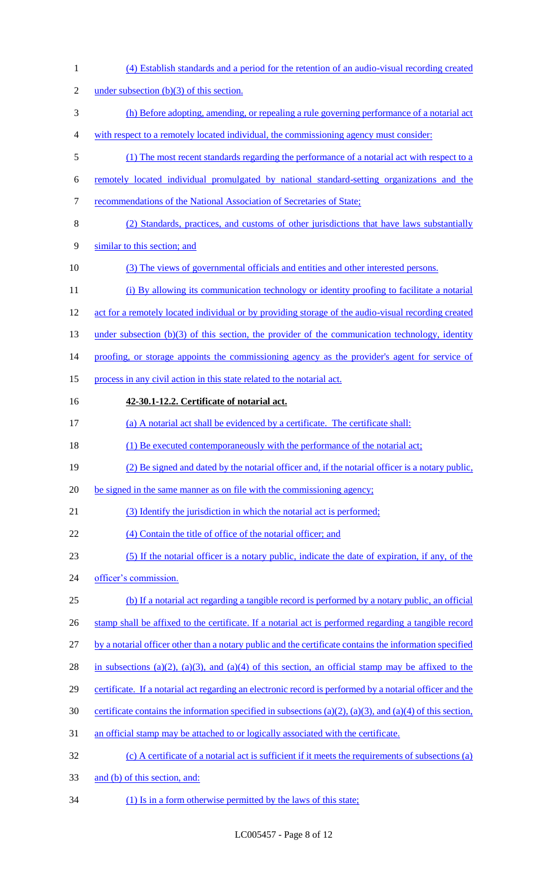| $\mathbf{1}$   | (4) Establish standards and a period for the retention of an audio-visual recording created               |
|----------------|-----------------------------------------------------------------------------------------------------------|
| $\overline{2}$ | under subsection $(b)(3)$ of this section.                                                                |
| 3              | (h) Before adopting, amending, or repealing a rule governing performance of a notarial act                |
| 4              | with respect to a remotely located individual, the commissioning agency must consider:                    |
| $\mathfrak s$  | (1) The most recent standards regarding the performance of a notarial act with respect to a               |
| 6              | remotely located individual promulgated by national standard-setting organizations and the                |
| $\tau$         | recommendations of the National Association of Secretaries of State;                                      |
| $\,8\,$        | (2) Standards, practices, and customs of other jurisdictions that have laws substantially                 |
| 9              | similar to this section; and                                                                              |
| 10             | (3) The views of governmental officials and entities and other interested persons.                        |
| 11             | (i) By allowing its communication technology or identity proofing to facilitate a notarial                |
| 12             | act for a remotely located individual or by providing storage of the audio-visual recording created       |
| 13             | under subsection (b) $(3)$ of this section, the provider of the communication technology, identity        |
| 14             | proofing, or storage appoints the commissioning agency as the provider's agent for service of             |
| 15             | process in any civil action in this state related to the notarial act.                                    |
| 16             | 42-30.1-12.2. Certificate of notarial act.                                                                |
| 17             | (a) A notarial act shall be evidenced by a certificate. The certificate shall:                            |
| 18             | (1) Be executed contemporaneously with the performance of the notarial act;                               |
| 19             | (2) Be signed and dated by the notarial officer and, if the notarial officer is a notary public,          |
| 20             | be signed in the same manner as on file with the commissioning agency;                                    |
| 21             | (3) Identify the jurisdiction in which the notarial act is performed;                                     |
| 22             | (4) Contain the title of office of the notarial officer; and                                              |
| 23             | (5) If the notarial officer is a notary public, indicate the date of expiration, if any, of the           |
| 24             | officer's commission.                                                                                     |
| 25             | (b) If a notarial act regarding a tangible record is performed by a notary public, an official            |
| 26             | stamp shall be affixed to the certificate. If a notarial act is performed regarding a tangible record     |
| 27             | by a notarial officer other than a notary public and the certificate contains the information specified   |
| 28             | in subsections (a)(2), (a)(3), and (a)(4) of this section, an official stamp may be affixed to the        |
| 29             | certificate. If a notarial act regarding an electronic record is performed by a notarial officer and the  |
| 30             | certificate contains the information specified in subsections (a)(2), (a)(3), and (a)(4) of this section, |
| 31             | an official stamp may be attached to or logically associated with the certificate.                        |
| 32             | (c) A certificate of a notarial act is sufficient if it meets the requirements of subsections (a)         |
| 33             | and (b) of this section, and:                                                                             |
| 34             | (1) Is in a form otherwise permitted by the laws of this state;                                           |

LC005457 - Page 8 of 12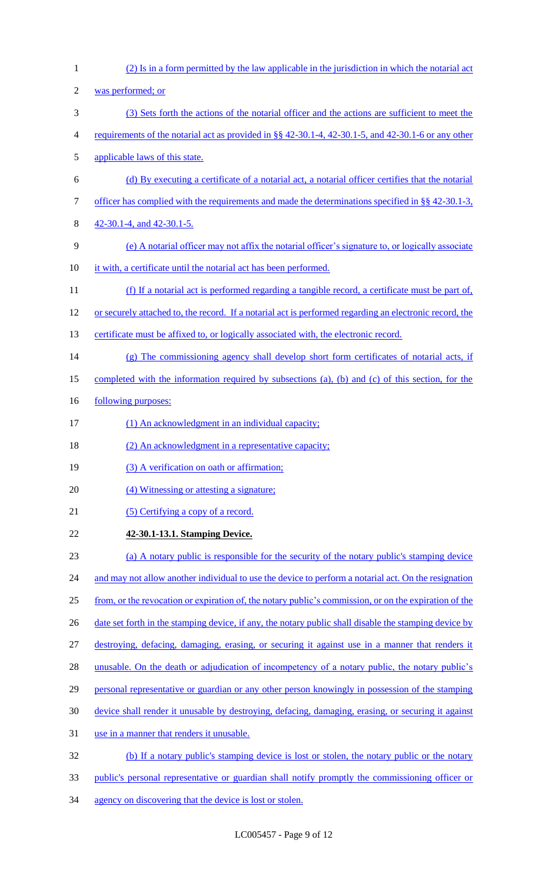(2) Is in a form permitted by the law applicable in the jurisdiction in which the notarial act was performed; or (3) Sets forth the actions of the notarial officer and the actions are sufficient to meet the 4 requirements of the notarial act as provided in §§ 42-30.1-4, 42-30.1-5, and 42-30.1-6 or any other applicable laws of this state. (d) By executing a certificate of a notarial act, a notarial officer certifies that the notarial 7 officer has complied with the requirements and made the determinations specified in §§ 42-30.1-3, 42-30.1-4, and 42-30.1-5. (e) A notarial officer may not affix the notarial officer's signature to, or logically associate it with, a certificate until the notarial act has been performed. (f) If a notarial act is performed regarding a tangible record, a certificate must be part of, or securely attached to, the record. If a notarial act is performed regarding an electronic record, the 13 certificate must be affixed to, or logically associated with, the electronic record. (g) The commissioning agency shall develop short form certificates of notarial acts, if completed with the information required by subsections (a), (b) and (c) of this section, for the 16 <u>following purposes:</u> 17 (1) An acknowledgment in an individual capacity; 18 (2) An acknowledgment in a representative capacity; 19 (3) A verification on oath or affirmation; (4) Witnessing or attesting a signature; 21 (5) Certifying a copy of a record. **42-30.1-13.1. Stamping Device.**  (a) A notary public is responsible for the security of the notary public's stamping device 24 and may not allow another individual to use the device to perform a notarial act. On the resignation from, or the revocation or expiration of, the notary public's commission, or on the expiration of the 26 date set forth in the stamping device, if any, the notary public shall disable the stamping device by destroying, defacing, damaging, erasing, or securing it against use in a manner that renders it 28 unusable. On the death or adjudication of incompetency of a notary public, the notary public's personal representative or guardian or any other person knowingly in possession of the stamping device shall render it unusable by destroying, defacing, damaging, erasing, or securing it against use in a manner that renders it unusable. (b) If a notary public's stamping device is lost or stolen, the notary public or the notary public's personal representative or guardian shall notify promptly the commissioning officer or 34 agency on discovering that the device is lost or stolen.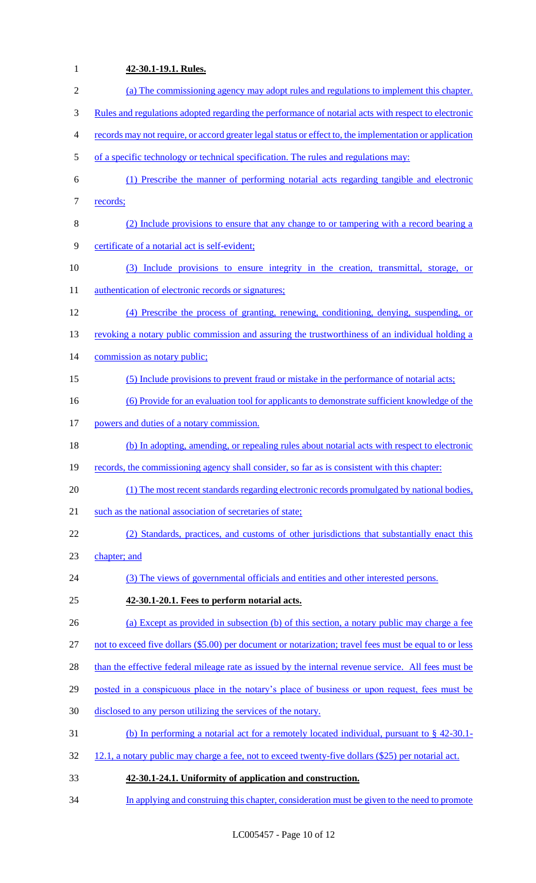# **42-30.1-19.1. Rules.**  (a) The commissioning agency may adopt rules and regulations to implement this chapter. Rules and regulations adopted regarding the performance of notarial acts with respect to electronic records may not require, or accord greater legal status or effect to, the implementation or application 5 of a specific technology or technical specification. The rules and regulations may: (1) Prescribe the manner of performing notarial acts regarding tangible and electronic 7 records; (2) Include provisions to ensure that any change to or tampering with a record bearing a certificate of a notarial act is self-evident; (3) Include provisions to ensure integrity in the creation, transmittal, storage, or 11 authentication of electronic records or signatures; (4) Prescribe the process of granting, renewing, conditioning, denying, suspending, or 13 revoking a notary public commission and assuring the trustworthiness of an individual holding a 14 commission as notary public; (5) Include provisions to prevent fraud or mistake in the performance of notarial acts; (6) Provide for an evaluation tool for applicants to demonstrate sufficient knowledge of the powers and duties of a notary commission. (b) In adopting, amending, or repealing rules about notarial acts with respect to electronic records, the commissioning agency shall consider, so far as is consistent with this chapter: (1) The most recent standards regarding electronic records promulgated by national bodies, 21 such as the national association of secretaries of state; (2) Standards, practices, and customs of other jurisdictions that substantially enact this chapter; and (3) The views of governmental officials and entities and other interested persons. **42-30.1-20.1. Fees to perform notarial acts.**  (a) Except as provided in subsection (b) of this section, a notary public may charge a fee not to exceed five dollars (\$5.00) per document or notarization; travel fees must be equal to or less 28 than the effective federal mileage rate as issued by the internal revenue service. All fees must be 29 posted in a conspicuous place in the notary's place of business or upon request, fees must be disclosed to any person utilizing the services of the notary. (b) In performing a notarial act for a remotely located individual, pursuant to § 42-30.1- 32 12.1, a notary public may charge a fee, not to exceed twenty-five dollars (\$25) per notarial act. **42-30.1-24.1. Uniformity of application and construction.**  In applying and construing this chapter, consideration must be given to the need to promote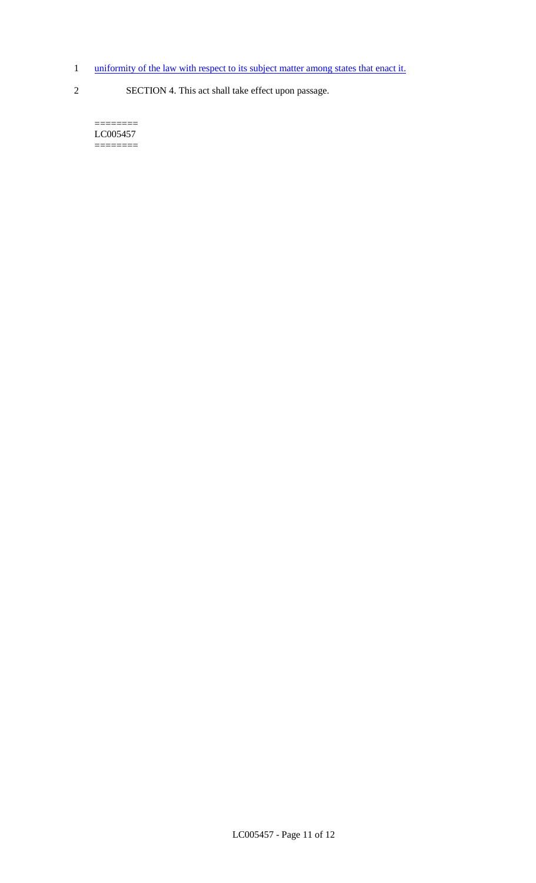- 1 uniformity of the law with respect to its subject matter among states that enact it.
- 2 SECTION 4. This act shall take effect upon passage.

======== LC005457 ========